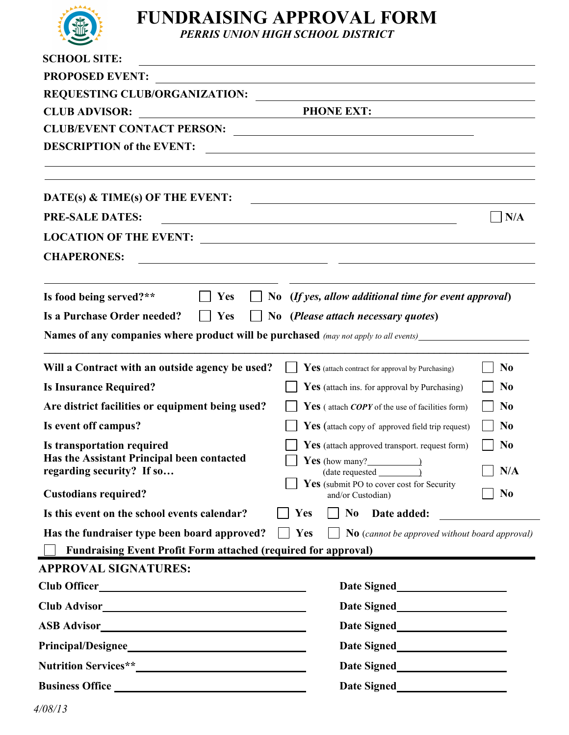

# **FUNDRAISING APPROVAL FORM**

*PERRIS UNION HIGH SCHOOL DISTRICT*

| <b>SCHOOL SITE:</b><br><u> 1989 - Johann John Stein, markin fyrstu og fyrstu og fyrstu og fyrstu og fyrstu og fyrstu og fyrstu og fyrstu</u>                                                                  |
|---------------------------------------------------------------------------------------------------------------------------------------------------------------------------------------------------------------|
| <b>PROPOSED EVENT:</b><br><u> 1989 - Johann Stoff, amerikansk politiker (d. 1989)</u>                                                                                                                         |
|                                                                                                                                                                                                               |
| <b>PHONE EXT:</b><br><b>CLUB ADVISOR:</b>                                                                                                                                                                     |
| CLUB/EVENT CONTACT PERSON:                                                                                                                                                                                    |
| <b>DESCRIPTION of the EVENT:</b><br><u> 1989 - Johann Stoff, deutscher Stoffen und der Stoffen und der Stoffen und der Stoffen und der Stoffen und de</u>                                                     |
| DATE(s) & TIME(s) OF THE EVENT:                                                                                                                                                                               |
| <b>PRE-SALE DATES:</b><br>N/A                                                                                                                                                                                 |
| <u> 1980 - Johann Barnett, fransk politik (f. 1980)</u>                                                                                                                                                       |
|                                                                                                                                                                                                               |
| <b>CHAPERONES:</b><br><u> 1980 - Jan Samuel Barbara, político establecera en la contrada de la contrada de la contrada de la contrada d</u>                                                                   |
| Is food being served?**<br>No (If yes, allow additional time for event approval)<br>Yes<br>$\vert \ \ \vert$<br>Is a Purchase Order needed?<br>$ $ Yes<br>$\Box$ No ( <i>Please attach necessary quotes</i> ) |
| <b>Names of any companies where product will be purchased</b> (may not apply to all events)                                                                                                                   |
|                                                                                                                                                                                                               |
| Will a Contract with an outside agency be used?<br>N <sub>0</sub><br>Yes (attach contract for approval by Purchasing)                                                                                         |
| <b>Is Insurance Required?</b><br>N <sub>0</sub><br><b>Yes</b> (attach ins. for approval by Purchasing)                                                                                                        |
| Are district facilities or equipment being used?<br>N <sub>0</sub><br><b>Yes</b> (attach <i>COPY</i> of the use of facilities form)                                                                           |
| Is event off campus?<br>N <sub>0</sub><br><b>Yes</b> (attach copy of approved field trip request)                                                                                                             |
| N <sub>0</sub><br>Is transportation required<br><b>Yes</b> (attach approved transport, request form)                                                                                                          |
| Has the Assistant Principal been contacted<br>Yes (how many?<br>$\qquad \qquad$ )<br>$\Box$ N/A                                                                                                               |
| regarding security? If so<br>$(data requested \_$<br><b>Yes</b> (submit PO to cover cost for Security                                                                                                         |
| N <sub>0</sub><br><b>Custodians required?</b><br>and/or Custodian)                                                                                                                                            |
| N <sub>0</sub><br>Is this event on the school events calendar?<br>Date added:<br>Yes                                                                                                                          |
| Has the fundraiser type been board approved?<br>Yes<br>No (cannot be approved without board approval)<br>$\mathbf{1}$                                                                                         |
| <b>Fundraising Event Profit Form attached (required for approval)</b>                                                                                                                                         |
| <b>APPROVAL SIGNATURES:</b>                                                                                                                                                                                   |
| Date Signed <u>Signed</u>                                                                                                                                                                                     |
|                                                                                                                                                                                                               |
| Date Signed<br><u>Date Signed</u>                                                                                                                                                                             |
| Date Signed                                                                                                                                                                                                   |
| Date Signed<br><u>Date Signed</u>                                                                                                                                                                             |
| Date Signed<br><b>Business Office</b> <u>International Contractors</u>                                                                                                                                        |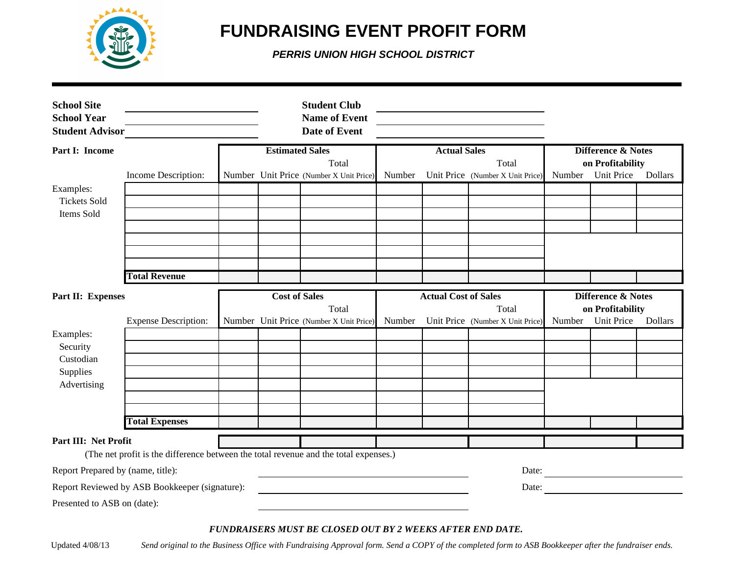

## **FUNDRAISING EVENT PROFIT FORM**

*PERRIS UNION HIGH SCHOOL DISTRICT*

| <b>School Site</b><br><b>School Year</b><br><b>Student Advisor</b> |                                                                                      |                        | <b>Student Club</b><br><b>Name of Event</b><br><b>Date of Event</b> |        |                             |                                           |                               |                                       |                |
|--------------------------------------------------------------------|--------------------------------------------------------------------------------------|------------------------|---------------------------------------------------------------------|--------|-----------------------------|-------------------------------------------|-------------------------------|---------------------------------------|----------------|
| Part I: Income                                                     |                                                                                      | <b>Estimated Sales</b> |                                                                     |        | <b>Actual Sales</b>         |                                           | <b>Difference &amp; Notes</b> |                                       |                |
|                                                                    | Income Description:                                                                  |                        | Total<br>Number Unit Price (Number X Unit Price)                    | Number |                             | Total<br>Unit Price (Number X Unit Price) | Number                        | on Profitability<br><b>Unit Price</b> | <b>Dollars</b> |
| Examples:<br><b>Tickets Sold</b><br>Items Sold                     |                                                                                      |                        |                                                                     |        |                             |                                           |                               |                                       |                |
|                                                                    |                                                                                      |                        |                                                                     |        |                             |                                           |                               |                                       |                |
|                                                                    |                                                                                      |                        |                                                                     |        |                             |                                           |                               |                                       |                |
|                                                                    |                                                                                      |                        |                                                                     |        |                             |                                           |                               |                                       |                |
|                                                                    | <b>Total Revenue</b>                                                                 |                        |                                                                     |        |                             |                                           |                               |                                       |                |
| Part II: Expenses                                                  |                                                                                      | <b>Cost of Sales</b>   |                                                                     |        | <b>Actual Cost of Sales</b> |                                           |                               | Difference & Notes                    |                |
|                                                                    |                                                                                      |                        | Total                                                               |        |                             | Total                                     |                               | on Profitability                      |                |
| Examples:                                                          | <b>Expense Description:</b>                                                          |                        | Number Unit Price (Number X Unit Price)                             | Number |                             | Unit Price (Number X Unit Price)          | Number                        | <b>Unit Price</b>                     | <b>Dollars</b> |
| Security                                                           |                                                                                      |                        |                                                                     |        |                             |                                           |                               |                                       |                |
| Custodian                                                          |                                                                                      |                        |                                                                     |        |                             |                                           |                               |                                       |                |
| Supplies                                                           |                                                                                      |                        |                                                                     |        |                             |                                           |                               |                                       |                |
| Advertising                                                        |                                                                                      |                        |                                                                     |        |                             |                                           |                               |                                       |                |
|                                                                    |                                                                                      |                        |                                                                     |        |                             |                                           |                               |                                       |                |
|                                                                    | <b>Total Expenses</b>                                                                |                        |                                                                     |        |                             |                                           |                               |                                       |                |
| Part III: Net Profit                                               |                                                                                      |                        |                                                                     |        |                             |                                           |                               |                                       |                |
|                                                                    | (The net profit is the difference between the total revenue and the total expenses.) |                        |                                                                     |        |                             |                                           |                               |                                       |                |
| Report Prepared by (name, title):                                  |                                                                                      |                        |                                                                     |        |                             | Date:                                     |                               |                                       |                |
|                                                                    | Report Reviewed by ASB Bookkeeper (signature):                                       |                        |                                                                     |        |                             | Date:                                     |                               |                                       |                |
| Presented to ASB on (date):                                        |                                                                                      |                        |                                                                     |        |                             |                                           |                               |                                       |                |

#### *FUNDRAISERS MUST BE CLOSED OUT BY 2 WEEKS AFTER END DATE.*

Updated 4/08/13 *Send original to the Business Office with Fundraising Approval form. Send a COPY of the completed form to ASB Bookkeeper after the fundraiser ends.*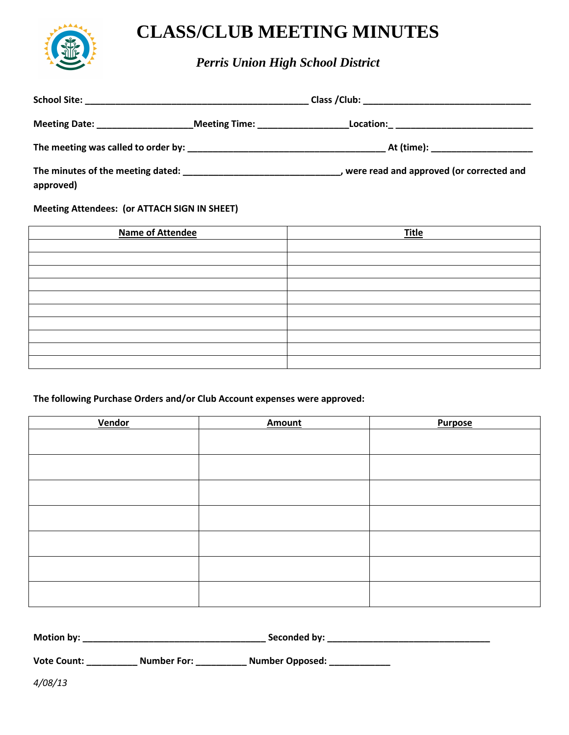

### **CLASS/CLUB MEETING MINUTES**

*Perris Union High School District*

| Meeting Date: ___________________ | _Meeting Time: _________________________Location:_ _____________________________ |  |  |
|-----------------------------------|----------------------------------------------------------------------------------|--|--|
|                                   |                                                                                  |  |  |
| approved)                         | were read and approved (or corrected and                                         |  |  |

**Meeting Attendees: (or ATTACH SIGN IN SHEET)** 

| <b>Name of Attendee</b> | <b>Title</b> |
|-------------------------|--------------|
|                         |              |
|                         |              |
|                         |              |
|                         |              |
|                         |              |
|                         |              |
|                         |              |
|                         |              |
|                         |              |
|                         |              |

### **The following Purchase Orders and/or Club Account expenses were approved:**

| <b>Vendor</b> | <b>Amount</b> | <b>Purpose</b> |
|---------------|---------------|----------------|
|               |               |                |
|               |               |                |
|               |               |                |
|               |               |                |
|               |               |                |
|               |               |                |
|               |               |                |

| <b>Motion by:</b> | Seconded by: |
|-------------------|--------------|
|                   |              |

**Vote Count: \_\_\_\_\_\_\_\_\_\_ Number For: \_\_\_\_\_\_\_\_\_\_ Number Opposed: \_\_\_\_\_\_\_\_\_\_\_\_** 

*4/08/13*